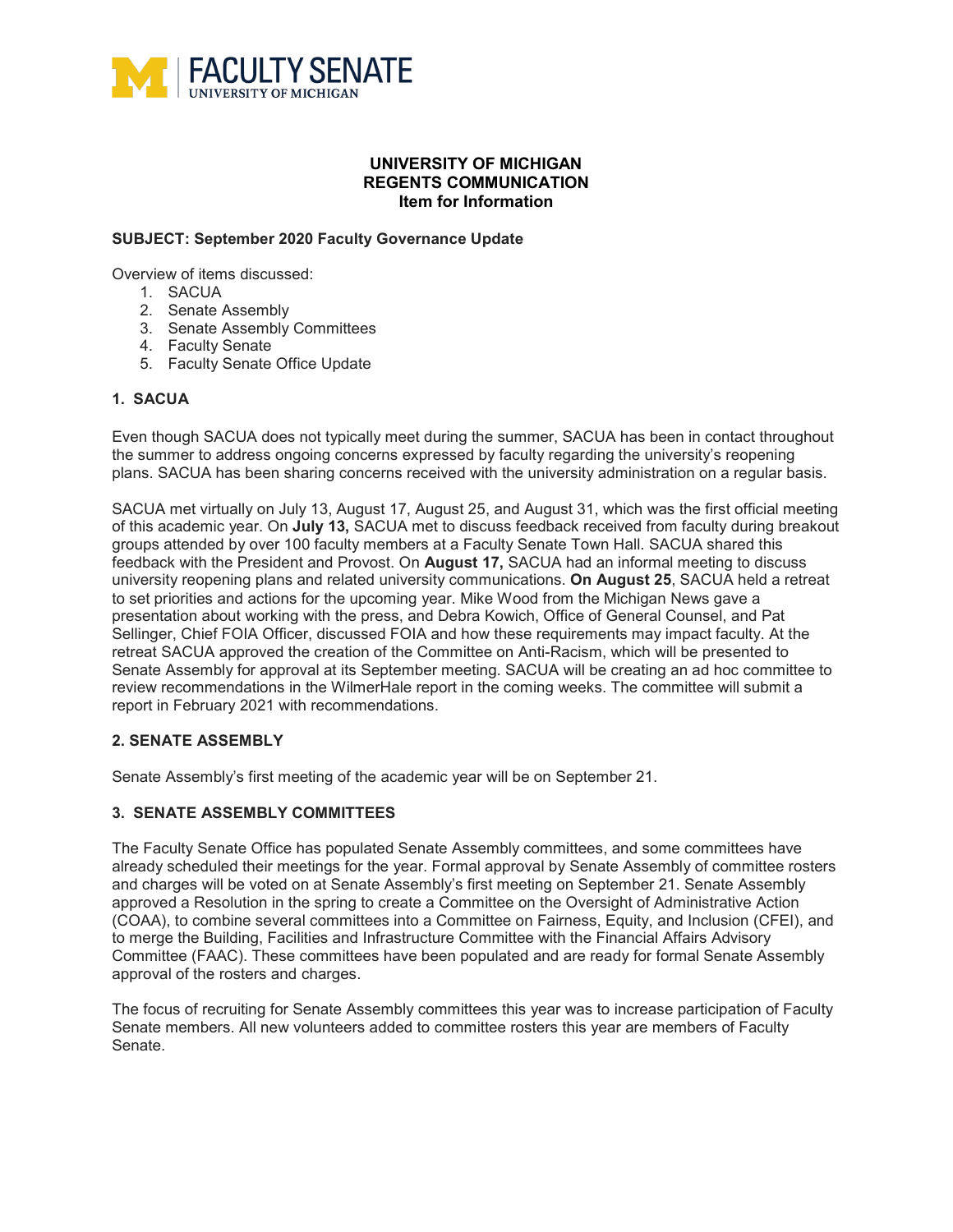

## **UNIVERSITY OF MICHIGAN REGENTS COMMUNICATION Item for Information**

### **SUBJECT: September 2020 Faculty Governance Update**

Overview of items discussed:

- 1. SACUA
- 2. Senate Assembly
- 3. Senate Assembly Committees
- 4. Faculty Senate
- 5. Faculty Senate Office Update

## **1. SACUA**

Even though SACUA does not typically meet during the summer, SACUA has been in contact throughout the summer to address ongoing concerns expressed by faculty regarding the university's reopening plans. SACUA has been sharing concerns received with the university administration on a regular basis.

SACUA met virtually on July 13, August 17, August 25, and August 31, which was the first official meeting of this academic year. On **July 13,** SACUA met to discuss feedback received from faculty during breakout groups attended by over 100 faculty members at a Faculty Senate Town Hall. SACUA shared this feedback with the President and Provost. On **August 17,** SACUA had an informal meeting to discuss university reopening plans and related university communications. **On August 25**, SACUA held a retreat to set priorities and actions for the upcoming year. Mike Wood from the Michigan News gave a presentation about working with the press, and Debra Kowich, Office of General Counsel, and Pat Sellinger, Chief FOIA Officer, discussed FOIA and how these requirements may impact faculty. At the retreat SACUA approved the creation of the Committee on Anti-Racism, which will be presented to Senate Assembly for approval at its September meeting. SACUA will be creating an ad hoc committee to review recommendations in the WilmerHale report in the coming weeks. The committee will submit a report in February 2021 with recommendations.

#### **2. SENATE ASSEMBLY**

Senate Assembly's first meeting of the academic year will be on September 21.

## **3. SENATE ASSEMBLY COMMITTEES**

The Faculty Senate Office has populated Senate Assembly committees, and some committees have already scheduled their meetings for the year. Formal approval by Senate Assembly of committee rosters and charges will be voted on at Senate Assembly's first meeting on September 21. Senate Assembly approved a Resolution in the spring to create a Committee on the Oversight of Administrative Action (COAA), to combine several committees into a Committee on Fairness, Equity, and Inclusion (CFEI), and to merge the Building, Facilities and Infrastructure Committee with the Financial Affairs Advisory Committee (FAAC). These committees have been populated and are ready for formal Senate Assembly approval of the rosters and charges.

The focus of recruiting for Senate Assembly committees this year was to increase participation of Faculty Senate members. All new volunteers added to committee rosters this year are members of Faculty Senate.